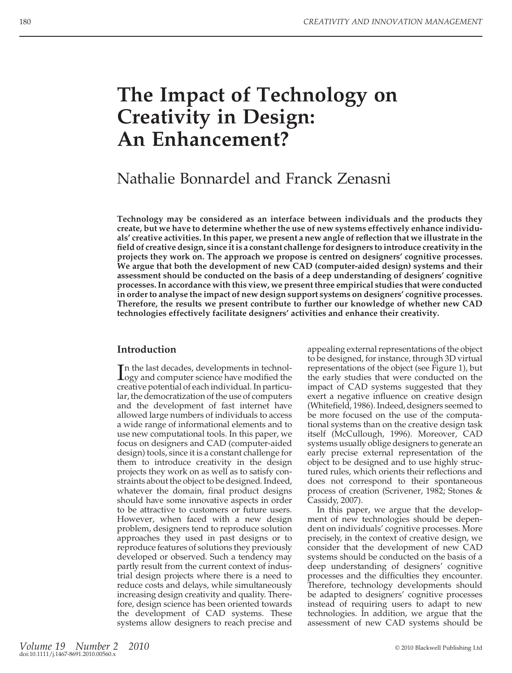# **The Impact of Technology on Creativity in Design: An Enhancement?**

# Nathalie Bonnardel and Franck Zenasni

**Technology may be considered as an interface between individuals and the products they create, but we have to determine whether the use of new systems effectively enhance individuals' creative activities. In this paper, we present a new angle of reflection that we illustrate in the field of creative design, since it is a constant challenge for designers to introduce creativity in the projects they work on. The approach we propose is centred on designers' cognitive processes. We argue that both the development of new CAD (computer-aided design) systems and their assessment should be conducted on the basis of a deep understanding of designers' cognitive processes. In accordance with this view, we present three empirical studies that were conducted in order to analyse the impact of new design support systems on designers' cognitive processes. Therefore, the results we present contribute to further our knowledge of whether new CAD technologies effectively facilitate designers' activities and enhance their creativity.**

#### **Introduction**

In the last decades, developments in technol-<br>logy and computer science have modified the n the last decades, developments in technolcreative potential of each individual. In particular, the democratization of the use of computers and the development of fast internet have allowed large numbers of individuals to access a wide range of informational elements and to use new computational tools. In this paper, we focus on designers and CAD (computer-aided design) tools, since it is a constant challenge for them to introduce creativity in the design projects they work on as well as to satisfy constraints about the object to be designed. Indeed, whatever the domain, final product designs should have some innovative aspects in order to be attractive to customers or future users. However, when faced with a new design problem, designers tend to reproduce solution approaches they used in past designs or to reproduce features of solutions they previously developed or observed. Such a tendency may partly result from the current context of industrial design projects where there is a need to reduce costs and delays, while simultaneously increasing design creativity and quality. Therefore, design science has been oriented towards the development of CAD systems. These systems allow designers to reach precise and appealing external representations of the object to be designed, for instance, through 3D virtual representations of the object (see Figure 1), but the early studies that were conducted on the impact of CAD systems suggested that they exert a negative influence on creative design (Whitefield, 1986). Indeed, designers seemed to be more focused on the use of the computational systems than on the creative design task itself (McCullough, 1996). Moreover, CAD systems usually oblige designers to generate an early precise external representation of the object to be designed and to use highly structured rules, which orients their reflections and does not correspond to their spontaneous process of creation (Scrivener, 1982; Stones & Cassidy, 2007).

In this paper, we argue that the development of new technologies should be dependent on individuals' cognitive processes. More precisely, in the context of creative design, we consider that the development of new CAD systems should be conducted on the basis of a deep understanding of designers' cognitive processes and the difficulties they encounter. Therefore, technology developments should be adapted to designers' cognitive processes instead of requiring users to adapt to new technologies. In addition, we argue that the assessment of new CAD systems should be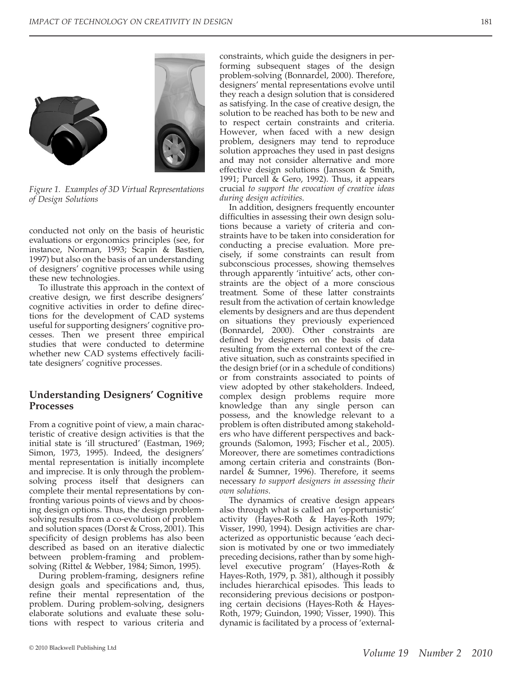

*Figure 1. Examples of 3D Virtual Representations of Design Solutions*

conducted not only on the basis of heuristic evaluations or ergonomics principles (see, for instance, Norman, 1993; Scapin & Bastien, 1997) but also on the basis of an understanding of designers' cognitive processes while using these new technologies.

To illustrate this approach in the context of creative design, we first describe designers' cognitive activities in order to define directions for the development of CAD systems useful for supporting designers' cognitive processes. Then we present three empirical studies that were conducted to determine whether new CAD systems effectively facilitate designers' cognitive processes.

## **Understanding Designers' Cognitive Processes**

From a cognitive point of view, a main characteristic of creative design activities is that the initial state is 'ill structured' (Eastman, 1969; Simon, 1973, 1995). Indeed, the designers' mental representation is initially incomplete and imprecise. It is only through the problemsolving process itself that designers can complete their mental representations by confronting various points of views and by choosing design options. Thus, the design problemsolving results from a co-evolution of problem and solution spaces (Dorst & Cross, 2001). This specificity of design problems has also been described as based on an iterative dialectic between problem-framing and problemsolving (Rittel & Webber, 1984; Simon, 1995).

During problem-framing, designers refine design goals and specifications and, thus, refine their mental representation of the problem. During problem-solving, designers elaborate solutions and evaluate these solutions with respect to various criteria and constraints, which guide the designers in performing subsequent stages of the design problem-solving (Bonnardel, 2000). Therefore, designers' mental representations evolve until they reach a design solution that is considered as satisfying. In the case of creative design, the solution to be reached has both to be new and to respect certain constraints and criteria. However, when faced with a new design problem, designers may tend to reproduce solution approaches they used in past designs and may not consider alternative and more effective design solutions (Jansson & Smith, 1991; Purcell & Gero, 1992). Thus, it appears crucial *to support the evocation of creative ideas during design activities*.

In addition, designers frequently encounter difficulties in assessing their own design solutions because a variety of criteria and constraints have to be taken into consideration for conducting a precise evaluation. More precisely, if some constraints can result from subconscious processes, showing themselves through apparently 'intuitive' acts, other constraints are the object of a more conscious treatment. Some of these latter constraints result from the activation of certain knowledge elements by designers and are thus dependent on situations they previously experienced (Bonnardel, 2000). Other constraints are defined by designers on the basis of data resulting from the external context of the creative situation, such as constraints specified in the design brief (or in a schedule of conditions) or from constraints associated to points of view adopted by other stakeholders. Indeed, complex design problems require more knowledge than any single person can possess, and the knowledge relevant to a problem is often distributed among stakeholders who have different perspectives and backgrounds (Salomon, 1993; Fischer et al., 2005). Moreover, there are sometimes contradictions among certain criteria and constraints (Bonnardel & Sumner, 1996). Therefore, it seems necessary *to support designers in assessing their own solutions*.

The dynamics of creative design appears also through what is called an 'opportunistic' activity (Hayes-Roth & Hayes-Roth 1979; Visser, 1990, 1994). Design activities are characterized as opportunistic because 'each decision is motivated by one or two immediately preceding decisions, rather than by some highlevel executive program' (Hayes-Roth & Hayes-Roth, 1979, p. 381), although it possibly includes hierarchical episodes. This leads to reconsidering previous decisions or postponing certain decisions (Hayes-Roth & Hayes-Roth, 1979; Guindon, 1990; Visser, 1990). This dynamic is facilitated by a process of 'external-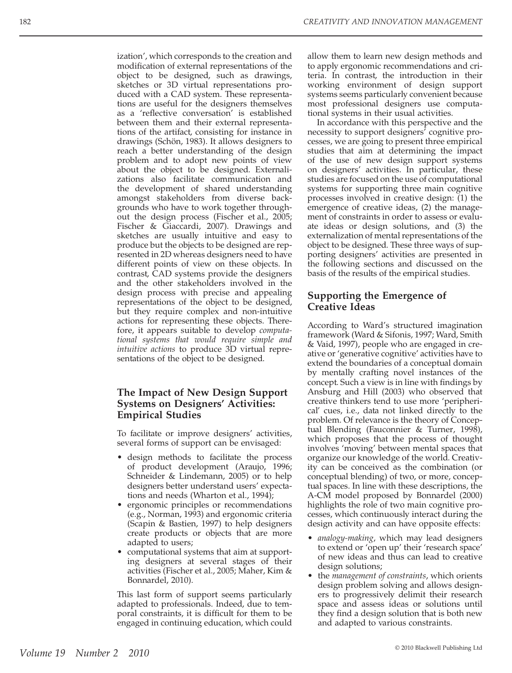ization', which corresponds to the creation and modification of external representations of the object to be designed, such as drawings, sketches or 3D virtual representations produced with a CAD system. These representations are useful for the designers themselves as a 'reflective conversation' is established between them and their external representations of the artifact, consisting for instance in drawings (Schön, 1983). It allows designers to reach a better understanding of the design problem and to adopt new points of view about the object to be designed. Externalizations also facilitate communication and the development of shared understanding amongst stakeholders from diverse backgrounds who have to work together throughout the design process (Fischer et al., 2005; Fischer & Giaccardi, 2007). Drawings and sketches are usually intuitive and easy to produce but the objects to be designed are represented in 2D whereas designers need to have different points of view on these objects. In contrast, CAD systems provide the designers and the other stakeholders involved in the design process with precise and appealing representations of the object to be designed, but they require complex and non-intuitive actions for representing these objects. Therefore, it appears suitable to develop *computational systems that would require simple and intuitive actions* to produce 3D virtual representations of the object to be designed.

# **The Impact of New Design Support Systems on Designers' Activities: Empirical Studies**

To facilitate or improve designers' activities, several forms of support can be envisaged:

- design methods to facilitate the process of product development (Araujo, 1996; Schneider & Lindemann, 2005) or to help designers better understand users' expectations and needs (Wharton et al., 1994);
- ergonomic principles or recommendations (e.g., Norman, 1993) and ergonomic criteria (Scapin & Bastien, 1997) to help designers create products or objects that are more adapted to users;
- computational systems that aim at supporting designers at several stages of their activities (Fischer et al., 2005; Maher, Kim & Bonnardel, 2010).

This last form of support seems particularly adapted to professionals. Indeed, due to temporal constraints, it is difficult for them to be engaged in continuing education, which could allow them to learn new design methods and to apply ergonomic recommendations and criteria. In contrast, the introduction in their working environment of design support systems seems particularly convenient because most professional designers use computational systems in their usual activities.

In accordance with this perspective and the necessity to support designers' cognitive processes, we are going to present three empirical studies that aim at determining the impact of the use of new design support systems on designers' activities. In particular, these studies are focused on the use of computational systems for supporting three main cognitive processes involved in creative design: (1) the emergence of creative ideas, (2) the management of constraints in order to assess or evaluate ideas or design solutions, and (3) the externalization of mental representations of the object to be designed. These three ways of supporting designers' activities are presented in the following sections and discussed on the basis of the results of the empirical studies.

# **Supporting the Emergence of Creative Ideas**

According to Ward's structured imagination framework (Ward & Sifonis, 1997; Ward, Smith & Vaid, 1997), people who are engaged in creative or 'generative cognitive' activities have to extend the boundaries of a conceptual domain by mentally crafting novel instances of the concept. Such a view is in line with findings by Ansburg and Hill (2003) who observed that creative thinkers tend to use more 'peripherical' cues, i.e., data not linked directly to the problem. Of relevance is the theory of Conceptual Blending (Fauconnier & Turner, 1998), which proposes that the process of thought involves 'moving' between mental spaces that organize our knowledge of the world. Creativity can be conceived as the combination (or conceptual blending) of two, or more, conceptual spaces. In line with these descriptions, the A-CM model proposed by Bonnardel (2000) highlights the role of two main cognitive processes, which continuously interact during the design activity and can have opposite effects:

- *analogy-making*, which may lead designers to extend or 'open up' their 'research space' of new ideas and thus can lead to creative design solutions;
- the *management of constraints*, which orients design problem solving and allows designers to progressively delimit their research space and assess ideas or solutions until they find a design solution that is both new and adapted to various constraints.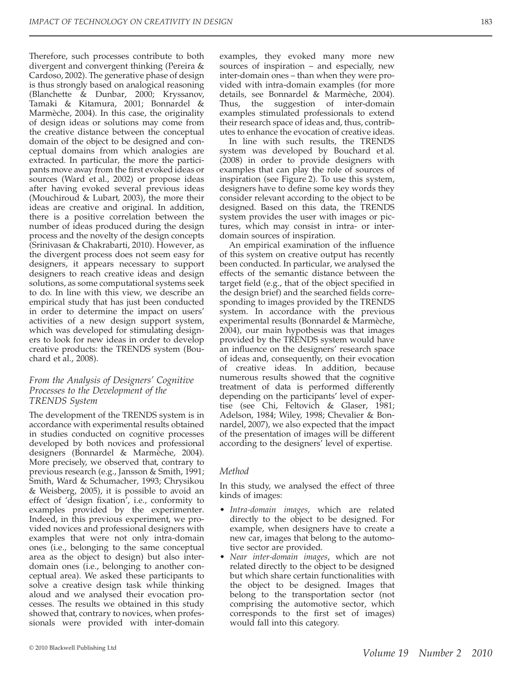Therefore, such processes contribute to both divergent and convergent thinking (Pereira & Cardoso, 2002). The generative phase of design is thus strongly based on analogical reasoning (Blanchette & Dunbar, 2000; Kryssanov, Tamaki & Kitamura, 2001; Bonnardel & Marmèche, 2004). In this case, the originality of design ideas or solutions may come from the creative distance between the conceptual domain of the object to be designed and conceptual domains from which analogies are extracted. In particular, the more the participants move away from the first evoked ideas or sources (Ward et al., 2002) or propose ideas after having evoked several previous ideas (Mouchiroud & Lubart, 2003), the more their ideas are creative and original. In addition, there is a positive correlation between the number of ideas produced during the design process and the novelty of the design concepts (Srinivasan & Chakrabarti, 2010). However, as the divergent process does not seem easy for designers, it appears necessary to support designers to reach creative ideas and design solutions, as some computational systems seek to do. In line with this view, we describe an empirical study that has just been conducted in order to determine the impact on users' activities of a new design support system, which was developed for stimulating designers to look for new ideas in order to develop creative products: the TRENDS system (Bouchard et al., 2008).

#### *From the Analysis of Designers' Cognitive Processes to the Development of the TRENDS System*

The development of the TRENDS system is in accordance with experimental results obtained in studies conducted on cognitive processes developed by both novices and professional designers (Bonnardel & Marmèche, 2004). More precisely, we observed that, contrary to previous research (e.g., Jansson & Smith, 1991; Smith, Ward & Schumacher, 1993; Chrysikou & Weisberg, 2005), it is possible to avoid an effect of 'design fixation', i.e., conformity to examples provided by the experimenter. Indeed, in this previous experiment, we provided novices and professional designers with examples that were not only intra-domain ones (i.e., belonging to the same conceptual area as the object to design) but also interdomain ones (i.e., belonging to another conceptual area). We asked these participants to solve a creative design task while thinking aloud and we analysed their evocation processes. The results we obtained in this study showed that, contrary to novices, when professionals were provided with inter-domain

examples, they evoked many more new sources of inspiration – and especially, new inter-domain ones – than when they were provided with intra-domain examples (for more details, see Bonnardel & Marmèche, 2004). Thus, the suggestion of inter-domain examples stimulated professionals to extend their research space of ideas and, thus, contributes to enhance the evocation of creative ideas.

In line with such results, the TRENDS system was developed by Bouchard et al. (2008) in order to provide designers with examples that can play the role of sources of inspiration (see Figure 2). To use this system, designers have to define some key words they consider relevant according to the object to be designed. Based on this data, the TRENDS system provides the user with images or pictures, which may consist in intra- or interdomain sources of inspiration.

An empirical examination of the influence of this system on creative output has recently been conducted. In particular, we analysed the effects of the semantic distance between the target field (e.g., that of the object specified in the design brief) and the searched fields corresponding to images provided by the TRENDS system. In accordance with the previous experimental results (Bonnardel & Marmèche, 2004), our main hypothesis was that images provided by the TRENDS system would have an influence on the designers' research space of ideas and, consequently, on their evocation of creative ideas. In addition, because numerous results showed that the cognitive treatment of data is performed differently depending on the participants' level of expertise (see Chi, Feltovich & Glaser, 1981; Adelson, 1984; Wiley, 1998; Chevalier & Bonnardel, 2007), we also expected that the impact of the presentation of images will be different according to the designers' level of expertise.

#### *Method*

In this study, we analysed the effect of three kinds of images:

- *Intra-domain images*, which are related directly to the object to be designed. For example, when designers have to create a new car, images that belong to the automotive sector are provided.
- *Near inter-domain images*, which are not related directly to the object to be designed but which share certain functionalities with the object to be designed. Images that belong to the transportation sector (not comprising the automotive sector, which corresponds to the first set of images) would fall into this category.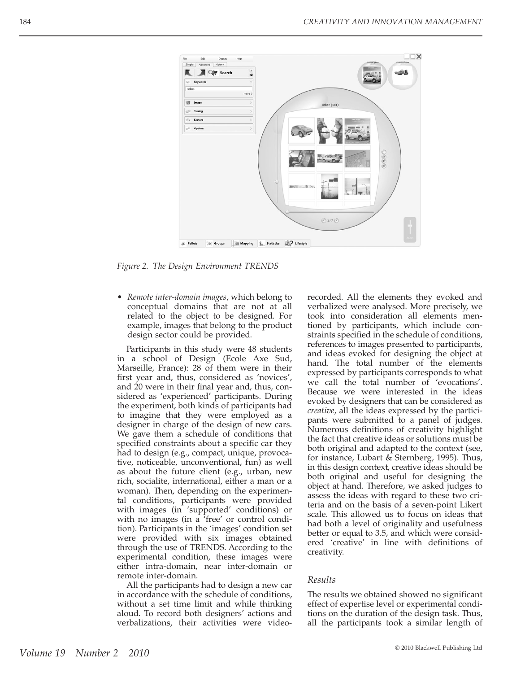

*Figure 2. The Design Environment TRENDS*

• *Remote inter-domain images*, which belong to conceptual domains that are not at all related to the object to be designed. For example, images that belong to the product design sector could be provided.

Participants in this study were 48 students in a school of Design (Ecole Axe Sud, Marseille, France): 28 of them were in their first year and, thus, considered as 'novices', and 20 were in their final year and, thus, considered as 'experienced' participants. During the experiment, both kinds of participants had to imagine that they were employed as a designer in charge of the design of new cars. We gave them a schedule of conditions that specified constraints about a specific car they had to design (e.g., compact, unique, provocative, noticeable, unconventional, fun) as well as about the future client (e.g., urban, new rich, socialite, international, either a man or a woman). Then, depending on the experimental conditions, participants were provided with images (in 'supported' conditions) or with no images (in a 'free' or control condition). Participants in the 'images' condition set were provided with six images obtained through the use of TRENDS. According to the experimental condition, these images were either intra-domain, near inter-domain or remote inter-domain.

All the participants had to design a new car in accordance with the schedule of conditions, without a set time limit and while thinking aloud. To record both designers' actions and verbalizations, their activities were videorecorded. All the elements they evoked and verbalized were analysed. More precisely, we took into consideration all elements mentioned by participants, which include constraints specified in the schedule of conditions, references to images presented to participants, and ideas evoked for designing the object at hand. The total number of the elements expressed by participants corresponds to what we call the total number of 'evocations'. Because we were interested in the ideas evoked by designers that can be considered as *creative*, all the ideas expressed by the participants were submitted to a panel of judges. Numerous definitions of creativity highlight the fact that creative ideas or solutions must be both original and adapted to the context (see, for instance, Lubart & Sternberg, 1995). Thus, in this design context, creative ideas should be both original and useful for designing the object at hand. Therefore, we asked judges to assess the ideas with regard to these two criteria and on the basis of a seven-point Likert scale. This allowed us to focus on ideas that had both a level of originality and usefulness better or equal to 3.5, and which were considered 'creative' in line with definitions of creativity.

#### *Results*

The results we obtained showed no significant effect of expertise level or experimental conditions on the duration of the design task. Thus, all the participants took a similar length of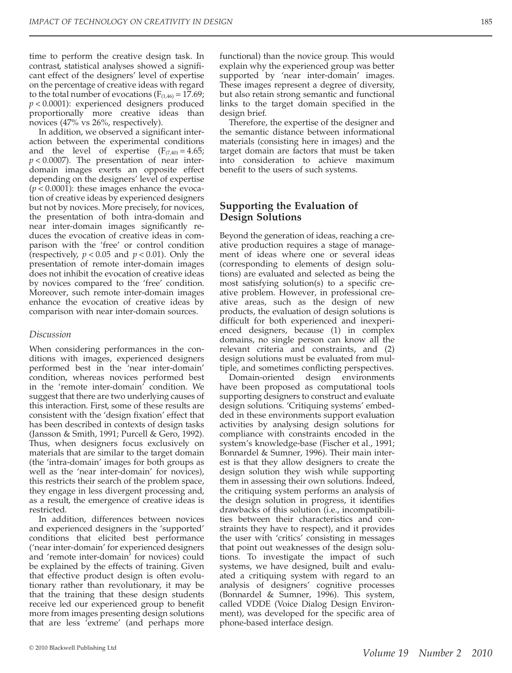time to perform the creative design task. In contrast, statistical analyses showed a significant effect of the designers' level of expertise on the percentage of creative ideas with regard to the total number of evocations ( $F_{(1,46)} = 17.69$ ; *p* < 0.0001): experienced designers produced proportionally more creative ideas than novices (47% vs 26%, respectively).

In addition, we observed a significant interaction between the experimental conditions and the level of expertise  $(F_{(7,40)} = 4.65)$ ;  $p < 0.0007$ ). The presentation of near interdomain images exerts an opposite effect depending on the designers' level of expertise  $(p < 0.0001)$ : these images enhance the evocation of creative ideas by experienced designers but not by novices. More precisely, for novices, the presentation of both intra-domain and near inter-domain images significantly reduces the evocation of creative ideas in comparison with the 'free' or control condition (respectively,  $p < 0.05$  and  $p < 0.01$ ). Only the presentation of remote inter-domain images does not inhibit the evocation of creative ideas by novices compared to the 'free' condition. Moreover, such remote inter-domain images enhance the evocation of creative ideas by comparison with near inter-domain sources.

#### *Discussion*

When considering performances in the conditions with images, experienced designers performed best in the 'near inter-domain' condition, whereas novices performed best in the 'remote inter-domain' condition. We suggest that there are two underlying causes of this interaction. First, some of these results are consistent with the 'design fixation' effect that has been described in contexts of design tasks (Jansson & Smith, 1991; Purcell & Gero, 1992). Thus, when designers focus exclusively on materials that are similar to the target domain (the 'intra-domain' images for both groups as well as the 'near inter-domain' for novices), this restricts their search of the problem space, they engage in less divergent processing and, as a result, the emergence of creative ideas is restricted.

In addition, differences between novices and experienced designers in the 'supported' conditions that elicited best performance ('near inter-domain' for experienced designers and 'remote inter-domain' for novices) could be explained by the effects of training. Given that effective product design is often evolutionary rather than revolutionary, it may be that the training that these design students receive led our experienced group to benefit more from images presenting design solutions that are less 'extreme' (and perhaps more

functional) than the novice group. This would explain why the experienced group was better supported by 'near inter-domain' images. These images represent a degree of diversity, but also retain strong semantic and functional links to the target domain specified in the design brief.

Therefore, the expertise of the designer and the semantic distance between informational materials (consisting here in images) and the target domain are factors that must be taken into consideration to achieve maximum benefit to the users of such systems.

# **Supporting the Evaluation of Design Solutions**

Beyond the generation of ideas, reaching a creative production requires a stage of management of ideas where one or several ideas (corresponding to elements of design solutions) are evaluated and selected as being the most satisfying solution(s) to a specific creative problem. However, in professional creative areas, such as the design of new products, the evaluation of design solutions is difficult for both experienced and inexperienced designers, because (1) in complex domains, no single person can know all the relevant criteria and constraints, and (2) design solutions must be evaluated from multiple, and sometimes conflicting perspectives.

Domain-oriented design environments have been proposed as computational tools supporting designers to construct and evaluate design solutions. 'Critiquing systems' embedded in these environments support evaluation activities by analysing design solutions for compliance with constraints encoded in the system's knowledge-base (Fischer et al., 1991; Bonnardel & Sumner, 1996). Their main interest is that they allow designers to create the design solution they wish while supporting them in assessing their own solutions. Indeed, the critiquing system performs an analysis of the design solution in progress, it identifies drawbacks of this solution (i.e., incompatibilities between their characteristics and constraints they have to respect), and it provides the user with 'critics' consisting in messages that point out weaknesses of the design solutions. To investigate the impact of such systems, we have designed, built and evaluated a critiquing system with regard to an analysis of designers' cognitive processes (Bonnardel & Sumner, 1996). This system, called VDDE (Voice Dialog Design Environment), was developed for the specific area of phone-based interface design.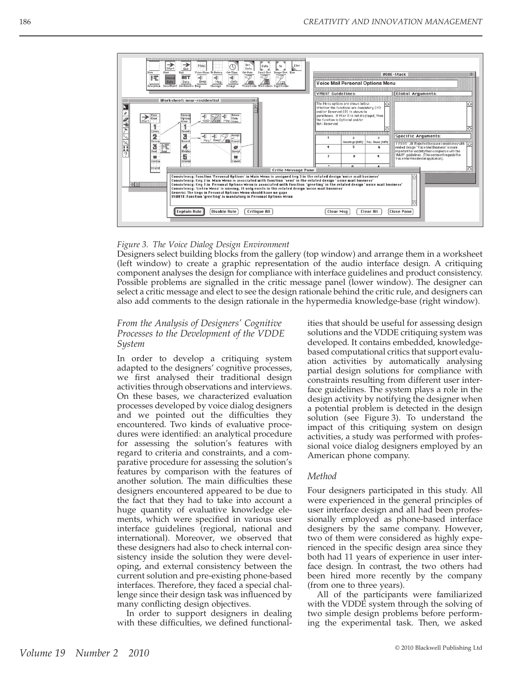

#### *Figure 3. The Voice Dialog Design Environment*

Designers select building blocks from the gallery (top window) and arrange them in a worksheet (left window) to create a graphic representation of the audio interface design. A critiquing component analyses the design for compliance with interface guidelines and product consistency. Possible problems are signalled in the critic message panel (lower window). The designer can select a critic message and elect to see the design rationale behind the critic rule, and designers can also add comments to the design rationale in the hypermedia knowledge-base (right window).

#### *From the Analysis of Designers' Cognitive Processes to the Development of the VDDE System*

In order to develop a critiquing system adapted to the designers' cognitive processes, we first analysed their traditional design activities through observations and interviews. On these bases, we characterized evaluation processes developed by voice dialog designers and we pointed out the difficulties they encountered. Two kinds of evaluative procedures were identified: an analytical procedure for assessing the solution's features with regard to criteria and constraints, and a comparative procedure for assessing the solution's features by comparison with the features of another solution. The main difficulties these designers encountered appeared to be due to the fact that they had to take into account a huge quantity of evaluative knowledge elements, which were specified in various user interface guidelines (regional, national and international). Moreover, we observed that these designers had also to check internal consistency inside the solution they were developing, and external consistency between the current solution and pre-existing phone-based interfaces. Therefore, they faced a special challenge since their design task was influenced by many conflicting design objectives.

In order to support designers in dealing with these difficulties, we defined functionalities that should be useful for assessing design solutions and the VDDE critiquing system was developed. It contains embedded, knowledgebased computational critics that support evaluation activities by automatically analysing partial design solutions for compliance with constraints resulting from different user interface guidelines. The system plays a role in the design activity by notifying the designer when a potential problem is detected in the design solution (see Figure 3). To understand the impact of this critiquing system on design activities, a study was performed with professional voice dialog designers employed by an American phone company.

#### *Method*

Four designers participated in this study. All were experienced in the general principles of user interface design and all had been professionally employed as phone-based interface designers by the same company. However, two of them were considered as highly experienced in the specific design area since they both had 11 years of experience in user interface design. In contrast, the two others had been hired more recently by the company (from one to three years).

All of the participants were familiarized with the VDDE system through the solving of two simple design problems before performing the experimental task. Then, we asked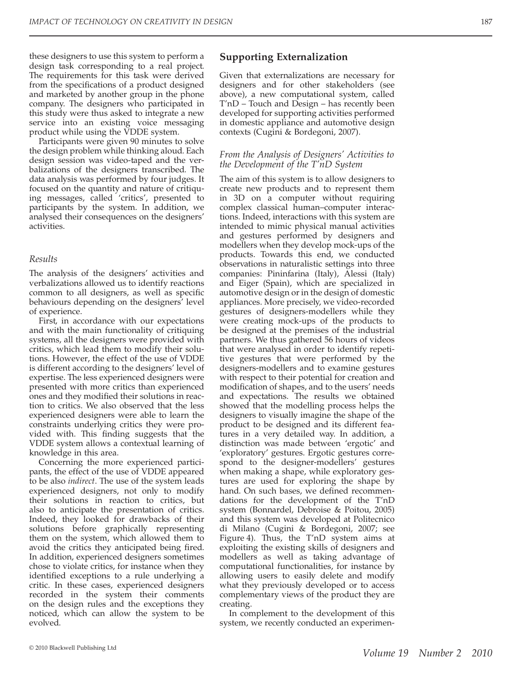these designers to use this system to perform a design task corresponding to a real project. The requirements for this task were derived from the specifications of a product designed and marketed by another group in the phone company. The designers who participated in this study were thus asked to integrate a new service into an existing voice messaging product while using the VDDE system.

Participants were given 90 minutes to solve the design problem while thinking aloud. Each design session was video-taped and the verbalizations of the designers transcribed. The data analysis was performed by four judges. It focused on the quantity and nature of critiquing messages, called 'critics', presented to participants by the system. In addition, we analysed their consequences on the designers' activities.

#### *Results*

The analysis of the designers' activities and verbalizations allowed us to identify reactions common to all designers, as well as specific behaviours depending on the designers' level of experience.

First, in accordance with our expectations and with the main functionality of critiquing systems, all the designers were provided with critics, which lead them to modify their solutions. However, the effect of the use of VDDE is different according to the designers' level of expertise. The less experienced designers were presented with more critics than experienced ones and they modified their solutions in reaction to critics. We also observed that the less experienced designers were able to learn the constraints underlying critics they were provided with. This finding suggests that the VDDE system allows a contextual learning of knowledge in this area.

Concerning the more experienced participants, the effect of the use of VDDE appeared to be also *indirect*. The use of the system leads experienced designers, not only to modify their solutions in reaction to critics, but also to anticipate the presentation of critics. Indeed, they looked for drawbacks of their solutions before graphically representing them on the system, which allowed them to avoid the critics they anticipated being fired. In addition, experienced designers sometimes chose to violate critics, for instance when they identified exceptions to a rule underlying a critic. In these cases, experienced designers recorded in the system their comments on the design rules and the exceptions they noticed, which can allow the system to be evolved.

# **Supporting Externalization**

Given that externalizations are necessary for designers and for other stakeholders (see above), a new computational system, called T'nD – Touch and Design – has recently been developed for supporting activities performed in domestic appliance and automotive design contexts (Cugini & Bordegoni, 2007).

#### *From the Analysis of Designers' Activities to the Development of the T'nD System*

The aim of this system is to allow designers to create new products and to represent them in 3D on a computer without requiring complex classical human–computer interactions. Indeed, interactions with this system are intended to mimic physical manual activities and gestures performed by designers and modellers when they develop mock-ups of the products. Towards this end, we conducted observations in naturalistic settings into three companies: Pininfarina (Italy), Alessi (Italy) and Eiger (Spain), which are specialized in automotive design or in the design of domestic appliances. More precisely, we video-recorded gestures of designers-modellers while they were creating mock-ups of the products to be designed at the premises of the industrial partners. We thus gathered 56 hours of videos that were analysed in order to identify repetitive gestures that were performed by the designers-modellers and to examine gestures with respect to their potential for creation and modification of shapes, and to the users' needs and expectations. The results we obtained showed that the modelling process helps the designers to visually imagine the shape of the product to be designed and its different features in a very detailed way. In addition, a distinction was made between 'ergotic' and 'exploratory' gestures. Ergotic gestures correspond to the designer-modellers' gestures when making a shape, while exploratory gestures are used for exploring the shape by hand. On such bases, we defined recommendations for the development of the T'nD system (Bonnardel, Debroise & Poitou, 2005) and this system was developed at Politecnico di Milano (Cugini & Bordegoni, 2007; see Figure 4). Thus, the T'nD system aims at exploiting the existing skills of designers and modellers as well as taking advantage of computational functionalities, for instance by allowing users to easily delete and modify what they previously developed or to access complementary views of the product they are creating.

In complement to the development of this system, we recently conducted an experimen-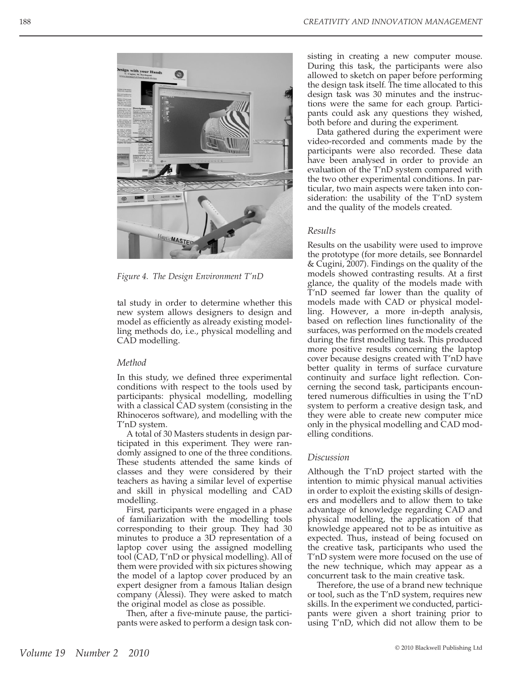

*Figure 4. The Design Environment T'nD*

tal study in order to determine whether this new system allows designers to design and model as efficiently as already existing modelling methods do, i.e., physical modelling and CAD modelling.

#### *Method*

In this study, we defined three experimental conditions with respect to the tools used by participants: physical modelling, modelling with a classical CAD system (consisting in the Rhinoceros software), and modelling with the T'nD system.

A total of 30 Masters students in design participated in this experiment. They were randomly assigned to one of the three conditions. These students attended the same kinds of classes and they were considered by their teachers as having a similar level of expertise and skill in physical modelling and CAD modelling.

First, participants were engaged in a phase of familiarization with the modelling tools corresponding to their group. They had 30 minutes to produce a 3D representation of a laptop cover using the assigned modelling tool (CAD, T'nD or physical modelling). All of them were provided with six pictures showing the model of a laptop cover produced by an expert designer from a famous Italian design company (Alessi). They were asked to match the original model as close as possible.

Then, after a five-minute pause, the participants were asked to perform a design task consisting in creating a new computer mouse. During this task, the participants were also allowed to sketch on paper before performing the design task itself. The time allocated to this design task was 30 minutes and the instructions were the same for each group. Participants could ask any questions they wished, both before and during the experiment.

Data gathered during the experiment were video-recorded and comments made by the participants were also recorded. These data have been analysed in order to provide an evaluation of the T'nD system compared with the two other experimental conditions. In particular, two main aspects were taken into consideration: the usability of the T'nD system and the quality of the models created.

#### *Results*

Results on the usability were used to improve the prototype (for more details, see Bonnardel & Cugini, 2007). Findings on the quality of the models showed contrasting results. At a first glance, the quality of the models made with T'nD seemed far lower than the quality of models made with CAD or physical modelling. However, a more in-depth analysis, based on reflection lines functionality of the surfaces, was performed on the models created during the first modelling task. This produced more positive results concerning the laptop cover because designs created with T'nD have better quality in terms of surface curvature continuity and surface light reflection. Concerning the second task, participants encountered numerous difficulties in using the T'nD system to perform a creative design task, and they were able to create new computer mice only in the physical modelling and CAD modelling conditions.

#### *Discussion*

Although the T'nD project started with the intention to mimic physical manual activities in order to exploit the existing skills of designers and modellers and to allow them to take advantage of knowledge regarding CAD and physical modelling, the application of that knowledge appeared not to be as intuitive as expected. Thus, instead of being focused on the creative task, participants who used the T'nD system were more focused on the use of the new technique, which may appear as a concurrent task to the main creative task.

Therefore, the use of a brand new technique or tool, such as the T'nD system, requires new skills. In the experiment we conducted, participants were given a short training prior to using T'nD, which did not allow them to be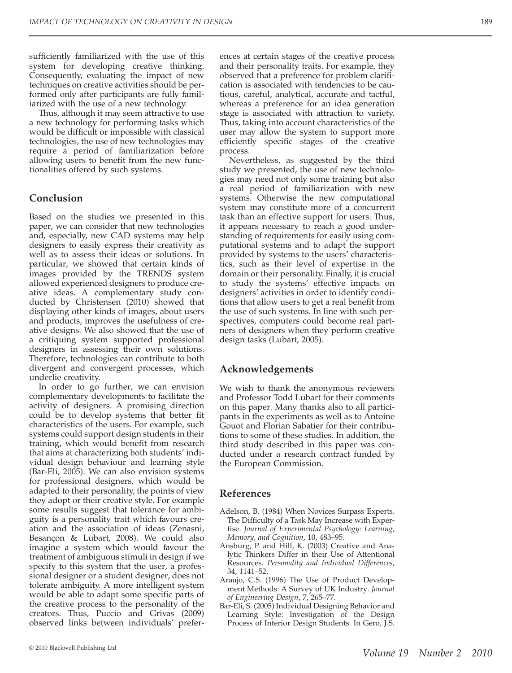sufficiently familiarized with the use of this system for developing creative thinking. Consequently, evaluating the impact of new techniques on creative activities should be performed only after participants are fully familiarized with the use of a new technology.

Thus, although it may seem attractive to use a new technology for performing tasks which would be difficult or impossible with classical technologies, the use of new technologies may require a period of familiarization before allowing users to benefit from the new functionalities offered by such systems.

### **Conclusion**

Based on the studies we presented in this paper, we can consider that new technologies and, especially, new CAD systems may help designers to easily express their creativity as well as to assess their ideas or solutions. In particular, we showed that certain kinds of images provided by the TRENDS system allowed experienced designers to produce creative ideas. A complementary study conducted by Christensen (2010) showed that displaying other kinds of images, about users and products, improves the usefulness of creative designs. We also showed that the use of a critiquing system supported professional designers in assessing their own solutions. Therefore, technologies can contribute to both divergent and convergent processes, which underlie creativity.

In order to go further, we can envision complementary developments to facilitate the activity of designers. A promising direction could be to develop systems that better fit characteristics of the users. For example, such systems could support design students in their training, which would benefit from research that aims at characterizing both students' individual design behaviour and learning style (Bar-Eli, 2005). We can also envision systems for professional designers, which would be adapted to their personality, the points of view they adopt or their creative style. For example some results suggest that tolerance for ambiguity is a personality trait which favours creation and the association of ideas (Zenasni, Besançon & Lubart, 2008). We could also imagine a system which would favour the treatment of ambiguous stimuli in design if we specify to this system that the user, a professional designer or a student designer, does not tolerate ambiguity. A more intelligent system would be able to adapt some specific parts of the creative process to the personality of the creators. Thus, Puccio and Grivas (2009) observed links between individuals' prefer-

ences at certain stages of the creative process and their personality traits. For example, they observed that a preference for problem clarification is associated with tendencies to be cautious, careful, analytical, accurate and tactful, whereas a preference for an idea generation stage is associated with attraction to variety. Thus, taking into account characteristics of the user may allow the system to support more efficiently specific stages of the creative process.

Nevertheless, as suggested by the third study we presented, the use of new technologies may need not only some training but also a real period of familiarization with new systems. Otherwise the new computational system may constitute more of a concurrent task than an effective support for users. Thus, it appears necessary to reach a good understanding of requirements for easily using computational systems and to adapt the support provided by systems to the users' characteristics, such as their level of expertise in the domain or their personality. Finally, it is crucial to study the systems' effective impacts on designers' activities in order to identify conditions that allow users to get a real benefit from the use of such systems. In line with such perspectives, computers could become real partners of designers when they perform creative design tasks (Lubart, 2005).

#### **Acknowledgements**

We wish to thank the anonymous reviewers and Professor Todd Lubart for their comments on this paper. Many thanks also to all participants in the experiments as well as to Antoine Gouot and Florian Sabatier for their contributions to some of these studies. In addition, the third study described in this paper was conducted under a research contract funded by the European Commission.

#### **References**

- Adelson, B. (1984) When Novices Surpass Experts. The Difficulty of a Task May Increase with Expertise. *Journal of Experimental Psychology: Learning, Memory, and Cognition*, 10, 483–95.
- Ansburg, P. and Hill, K. (2003) Creative and Analytic Thinkers Differ in their Use of Attentional Resources. *Personality and Individual Differences*, 34, 1141–52.
- Araujo, C.S. (1996) The Use of Product Development Methods: A Survey of UK Industry. *Journal of Engineering Design*, 7, 265–77.
- Bar-Eli, S. (2005) Individual Designing Behavior and Learning Style: Investigation of the Design Process of Interior Design Students. In Gero, J.S.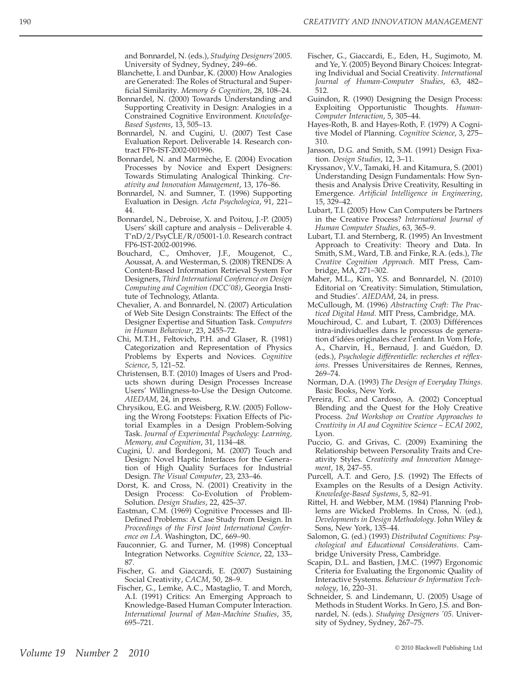and Bonnardel, N. (eds.), *Studying Designers'2005*. University of Sydney, Sydney, 249–66.

- Blanchette, I. and Dunbar, K. (2000) How Analogies are Generated: The Roles of Structural and Superficial Similarity. *Memory & Cognition*, 28, 108–24.
- Bonnardel, N. (2000) Towards Understanding and Supporting Creativity in Design: Analogies in a Constrained Cognitive Environment. *Knowledge-Based Systems*, 13, 505–13.
- Bonnardel, N. and Cugini, U. (2007) Test Case Evaluation Report. Deliverable 14. Research contract FP6-IST-2002-001996.
- Bonnardel, N. and Marmèche, E. (2004) Evocation Processes by Novice and Expert Designers: Towards Stimulating Analogical Thinking. *Creativity and Innovation Management*, 13, 176–86.
- Bonnardel, N. and Sumner, T. (1996) Supporting Evaluation in Design. *Acta Psychologica*, 91, 221– 44.
- Bonnardel, N., Debroise, X. and Poitou, J.-P. (2005) Users' skill capture and analysis – Deliverable 4. T'nD/2/PsyCLE/R/05001-1.0. Research contract FP6-IST-2002-001996.
- Bouchard, C., Omhover, J.F., Mougenot, C., Aoussat, A. and Westerman, S. (2008) TRENDS: A Content-Based Information Retrieval System For Designers, *Third International Conference on Design Computing and Cognition (DCC'08)*, Georgia Institute of Technology, Atlanta.
- Chevalier, A. and Bonnardel, N. (2007) Articulation of Web Site Design Constraints: The Effect of the Designer Expertise and Situation Task. *Computers in Human Behaviour*, 23, 2455–72.
- Chi, M.T.H., Feltovich, P.H. and Glaser, R. (1981) Categorization and Representation of Physics Problems by Experts and Novices. *Cognitive Science*, 5, 121–52.
- Christensen, B.T. (2010) Images of Users and Products shown during Design Processes Increase Users' Willingness-to-Use the Design Outcome. *AIEDAM*, 24, in press.
- Chrysikou, E.G. and Weisberg, R.W. (2005) Following the Wrong Footsteps: Fixation Effects of Pictorial Examples in a Design Problem-Solving Task. *Journal of Experimental Psychology: Learning, Memory, and Cognition*, 31, 1134–48.
- Cugini, U. and Bordegoni, M. (2007) Touch and Design: Novel Haptic Interfaces for the Generation of High Quality Surfaces for Industrial Design. *The Visual Computer*, 23, 233–46.
- Dorst, K. and Cross, N. (2001) Creativity in the Design Process: Co-Evolution of Problem-Solution. *Design Studies*, 22, 425–37.
- Eastman, C.M. (1969) Cognitive Processes and Ill-Defined Problems: A Case Study from Design. In *Proceedings of the First Joint International Conference on I.A*. Washington, DC, 669–90.
- Fauconnier, G. and Turner, M. (1998) Conceptual Integration Networks. *Cognitive Science*, 22, 133– 87.
- Fischer, G. and Giaccardi, E. (2007) Sustaining Social Creativity, *CACM*, 50, 28–9.
- Fischer, G., Lemke, A.C., Mastaglio, T. and Morch, A.I. (1991) Critics: An Emerging Approach to Knowledge-Based Human Computer Interaction. *International Journal of Man-Machine Studies*, 35, 695–721.
- Fischer, G., Giaccardi, E., Eden, H., Sugimoto, M. and Ye, Y. (2005) Beyond Binary Choices: Integrating Individual and Social Creativity. *International Journal of Human-Computer Studies*, 63, 482– 512.
- Guindon, R. (1990) Designing the Design Process: Exploiting Opportunistic Thoughts. *Human-Computer Interaction*, 5, 305–44.
- Hayes-Roth, B. and Hayes-Roth, F. (1979) A Cognitive Model of Planning. *Cognitive Science*, 3, 275– 310.
- Jansson, D.G. and Smith, S.M. (1991) Design Fixation. *Design Studies*, 12, 3–11.
- Kryssanov, V.V., Tamaki, H. and Kitamura, S. (2001) Understanding Design Fundamentals: How Synthesis and Analysis Drive Creativity, Resulting in Emergence. *Artificial Intelligence in Engineering*, 15, 329–42.
- Lubart, T.I. (2005) How Can Computers be Partners in the Creative Process? *International Journal of Human Computer Studies*, 63, 365–9.
- Lubart, T.I. and Sternberg, R. (1995) An Investment Approach to Creativity: Theory and Data. In Smith, S.M., Ward, T.B. and Finke, R.A. (eds.), *The Creative Cognition Approach*. MIT Press, Cambridge, MA, 271–302.
- Maher, M.L., Kim, Y.S. and Bonnardel, N. (2010) Editorial on 'Creativity: Simulation, Stimulation, and Studies'. *AIEDAM*, 24, in press.
- McCullough, M. (1996) *Abstracting Craft: The Practiced Digital Hand*. MIT Press, Cambridge, MA.
- Mouchiroud, C. and Lubart, T. (2003) Différences intra-individuelles dans le processus de generation d'idées originales chez l'enfant. In Vom Hofe, A., Charvin, H., Bernaud, J. and Guédon, D. (eds.), *Psychologie différentielle: recherches et réflexions*. Presses Universitaires de Rennes, Rennes, 269–74.
- Norman, D.A. (1993) *The Design of Everyday Things*. Basic Books, New York.
- Pereira, F.C. and Cardoso, A. (2002) Conceptual Blending and the Quest for the Holy Creative Process. *2nd Workshop on Creative Approaches to Creativity in AI and Cognitive Science – ECAI 2002*, Lyon.
- Puccio, G. and Grivas, C. (2009) Examining the Relationship between Personality Traits and Creativity Styles. *Creativity and Innovation Management*, 18, 247–55.
- Purcell, A.T. and Gero, J.S. (1992) The Effects of Examples on the Results of a Design Activity. *Knowledge-Based Systems*, 5, 82–91.
- Rittel, H. and Webber, M.M. (1984) Planning Problems are Wicked Problems. In Cross, N. (ed.), *Developments in Design Methodology*. John Wiley & Sons, New York, 135–44.
- Salomon, G. (ed.) (1993) *Distributed Cognitions: Psychological and Educational Considerations*. Cambridge University Press, Cambridge.
- Scapin, D.L. and Bastien, J.M.C. (1997) Ergonomic Criteria for Evaluating the Ergonomic Quality of Interactive Systems. *Behaviour & Information Technology*, 16, 220–31.
- Schneider, S. and Lindemann, U. (2005) Usage of Methods in Student Works. In Gero, J.S. and Bonnardel, N. (eds.). *Studying Designers '05*. University of Sydney, Sydney, 267–75.